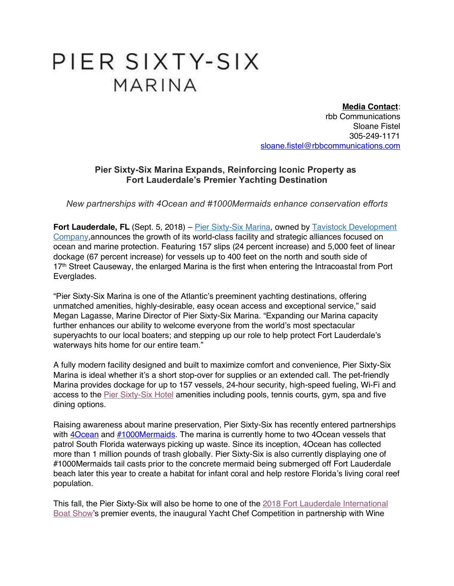## PIER SIXTY-SIX MARINA

**Media Contact**: rbb Communications Sloane Fistel 305-249-1171 sloane.fistel@rbbcommunications.com

## **Pier Sixty-Six Marina Expands, Reinforcing Iconic Property as Fort Lauderdale's Premier Yachting Destination**

*New partnerships with 4Ocean and #1000Mermaids enhance conservation efforts*

**Fort Lauderdale, FL** (Sept. 5, 2018) – Pier Sixty-Six Marina, owned by Tavistock Development Company,announces the growth of its world-class facility and strategic alliances focused on ocean and marine protection. Featuring 157 slips (24 percent increase) and 5,000 feet of linear dockage (67 percent increase) for vessels up to 400 feet on the north and south side of 17<sup>th</sup> Street Causeway, the enlarged Marina is the first when entering the Intracoastal from Port Everglades.

"Pier Sixty-Six Marina is one of the Atlantic's preeminent yachting destinations, offering unmatched amenities, highly-desirable, easy ocean access and exceptional service," said Megan Lagasse, Marine Director of Pier Sixty-Six Marina. "Expanding our Marina capacity further enhances our ability to welcome everyone from the world's most spectacular superyachts to our local boaters; and stepping up our role to help protect Fort Lauderdale's waterways hits home for our entire team."

A fully modern facility designed and built to maximize comfort and convenience, Pier Sixty-Six Marina is ideal whether it's a short stop-over for supplies or an extended call. The pet-friendly Marina provides dockage for up to 157 vessels, 24-hour security, high-speed fueling, Wi-Fi and access to the Pier Sixty-Six Hotel amenities including pools, tennis courts, gym, spa and five dining options.

Raising awareness about marine preservation, Pier Sixty-Six has recently entered partnerships with **4Ocean** and **#1000Mermaids**. The marina is currently home to two 4Ocean vessels that patrol South Florida waterways picking up waste. Since its inception, 4Ocean has collected more than 1 million pounds of trash globally. Pier Sixty-Six is also currently displaying one of #1000Mermaids tail casts prior to the concrete mermaid being submerged off Fort Lauderdale beach later this year to create a habitat for infant coral and help restore Florida's living coral reef population.

This fall, the Pier Sixty-Six will also be home to one of the 2018 Fort Lauderdale International Boat Show's premier events, the inaugural Yacht Chef Competition in partnership with Wine